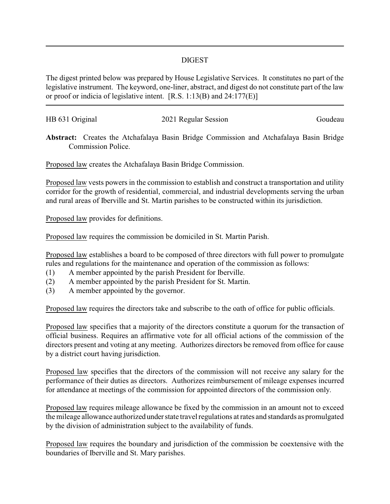## DIGEST

The digest printed below was prepared by House Legislative Services. It constitutes no part of the legislative instrument. The keyword, one-liner, abstract, and digest do not constitute part of the law or proof or indicia of legislative intent. [R.S. 1:13(B) and 24:177(E)]

| HB 631 Original | 2021 Regular Session | Goudeau |
|-----------------|----------------------|---------|
|                 |                      |         |

**Abstract:** Creates the Atchafalaya Basin Bridge Commission and Atchafalaya Basin Bridge Commission Police.

Proposed law creates the Atchafalaya Basin Bridge Commission.

Proposed law vests powers in the commission to establish and construct a transportation and utility corridor for the growth of residential, commercial, and industrial developments serving the urban and rural areas of Iberville and St. Martin parishes to be constructed within its jurisdiction.

Proposed law provides for definitions.

Proposed law requires the commission be domiciled in St. Martin Parish.

Proposed law establishes a board to be composed of three directors with full power to promulgate rules and regulations for the maintenance and operation of the commission as follows:

- (1) A member appointed by the parish President for Iberville.
- (2) A member appointed by the parish President for St. Martin.
- (3) A member appointed by the governor.

Proposed law requires the directors take and subscribe to the oath of office for public officials.

Proposed law specifies that a majority of the directors constitute a quorum for the transaction of official business. Requires an affirmative vote for all official actions of the commission of the directors present and voting at any meeting. Authorizes directors be removed from office for cause by a district court having jurisdiction.

Proposed law specifies that the directors of the commission will not receive any salary for the performance of their duties as directors. Authorizes reimbursement of mileage expenses incurred for attendance at meetings of the commission for appointed directors of the commission only.

Proposed law requires mileage allowance be fixed by the commission in an amount not to exceed the mileage allowance authorized under state travel regulations at rates and standards as promulgated by the division of administration subject to the availability of funds.

Proposed law requires the boundary and jurisdiction of the commission be coextensive with the boundaries of Iberville and St. Mary parishes.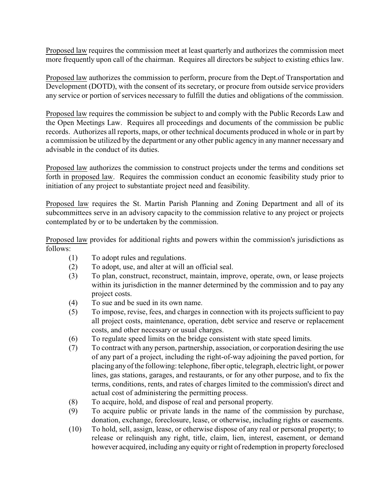Proposed law requires the commission meet at least quarterly and authorizes the commission meet more frequently upon call of the chairman. Requires all directors be subject to existing ethics law.

Proposed law authorizes the commission to perform, procure from the Dept.of Transportation and Development (DOTD), with the consent of its secretary, or procure from outside service providers any service or portion of services necessary to fulfill the duties and obligations of the commission.

Proposed law requires the commission be subject to and comply with the Public Records Law and the Open Meetings Law. Requires all proceedings and documents of the commission be public records. Authorizes all reports, maps, or other technical documents produced in whole or in part by a commission be utilized by the department or any other public agency in anymanner necessary and advisable in the conduct of its duties.

Proposed law authorizes the commission to construct projects under the terms and conditions set forth in proposed law. Requires the commission conduct an economic feasibility study prior to initiation of any project to substantiate project need and feasibility.

Proposed law requires the St. Martin Parish Planning and Zoning Department and all of its subcommittees serve in an advisory capacity to the commission relative to any project or projects contemplated by or to be undertaken by the commission.

Proposed law provides for additional rights and powers within the commission's jurisdictions as follows:

- (1) To adopt rules and regulations.
- (2) To adopt, use, and alter at will an official seal.
- (3) To plan, construct, reconstruct, maintain, improve, operate, own, or lease projects within its jurisdiction in the manner determined by the commission and to pay any project costs.
- (4) To sue and be sued in its own name.
- (5) To impose, revise, fees, and charges in connection with its projects sufficient to pay all project costs, maintenance, operation, debt service and reserve or replacement costs, and other necessary or usual charges.
- (6) To regulate speed limits on the bridge consistent with state speed limits.
- (7) To contract with any person, partnership, association, or corporation desiring the use of any part of a project, including the right-of-way adjoining the paved portion, for placing any of the following: telephone, fiber optic, telegraph, electric light, or power lines, gas stations, garages, and restaurants, or for any other purpose, and to fix the terms, conditions, rents, and rates of charges limited to the commission's direct and actual cost of administering the permitting process.
- (8) To acquire, hold, and dispose of real and personal property.
- (9) To acquire public or private lands in the name of the commission by purchase, donation, exchange, foreclosure, lease, or otherwise, including rights or easements.
- (10) To hold, sell, assign, lease, or otherwise dispose of any real or personal property; to release or relinquish any right, title, claim, lien, interest, easement, or demand however acquired, including any equity or right of redemption in property foreclosed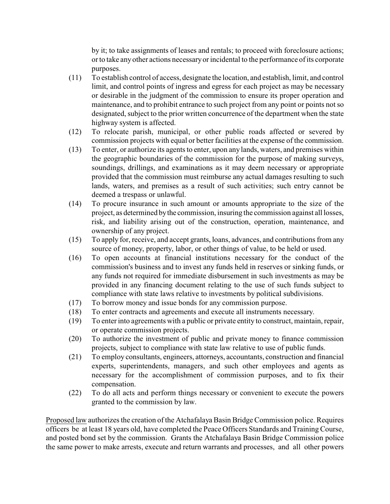by it; to take assignments of leases and rentals; to proceed with foreclosure actions; or to take any other actions necessaryor incidental to the performance of its corporate purposes.

- (11) To establish control of access, designate the location, and establish, limit, and control limit, and control points of ingress and egress for each project as may be necessary or desirable in the judgment of the commission to ensure its proper operation and maintenance, and to prohibit entrance to such project from any point or points not so designated, subject to the prior written concurrence of the department when the state highway system is affected.
- (12) To relocate parish, municipal, or other public roads affected or severed by commission projects with equal or better facilities at the expense of the commission.
- (13) To enter, or authorize its agents to enter, upon any lands, waters, and premises within the geographic boundaries of the commission for the purpose of making surveys, soundings, drillings, and examinations as it may deem necessary or appropriate provided that the commission must reimburse any actual damages resulting to such lands, waters, and premises as a result of such activities; such entry cannot be deemed a trespass or unlawful.
- (14) To procure insurance in such amount or amounts appropriate to the size of the project, as determined bythe commission, insuring the commission against all losses, risk, and liability arising out of the construction, operation, maintenance, and ownership of any project.
- (15) To apply for, receive, and accept grants, loans, advances, and contributions from any source of money, property, labor, or other things of value, to be held or used.
- (16) To open accounts at financial institutions necessary for the conduct of the commission's business and to invest any funds held in reserves or sinking funds, or any funds not required for immediate disbursement in such investments as may be provided in any financing document relating to the use of such funds subject to compliance with state laws relative to investments by political subdivisions.
- (17) To borrow money and issue bonds for any commission purpose.
- (18) To enter contracts and agreements and execute all instruments necessary.
- (19) To enter into agreements with a public or private entity to construct, maintain, repair, or operate commission projects.
- (20) To authorize the investment of public and private money to finance commission projects, subject to compliance with state law relative to use of public funds.
- (21) To employ consultants, engineers, attorneys, accountants, construction and financial experts, superintendents, managers, and such other employees and agents as necessary for the accomplishment of commission purposes, and to fix their compensation.
- (22) To do all acts and perform things necessary or convenient to execute the powers granted to the commission by law.

Proposed law authorizes the creation of the Atchafalaya Basin Bridge Commission police. Requires officers be at least 18 years old, have completed the Peace Officers Standards and Training Course, and posted bond set by the commission. Grants the Atchafalaya Basin Bridge Commission police the same power to make arrests, execute and return warrants and processes, and all other powers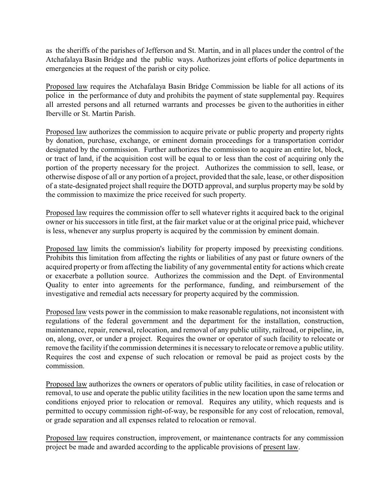as the sheriffs of the parishes of Jefferson and St. Martin, and in all places under the control of the Atchafalaya Basin Bridge and the public ways. Authorizes joint efforts of police departments in emergencies at the request of the parish or city police.

Proposed law requires the Atchafalaya Basin Bridge Commission be liable for all actions of its police in the performance of duty and prohibits the payment of state supplemental pay. Requires all arrested persons and all returned warrants and processes be given to the authorities in either Iberville or St. Martin Parish.

Proposed law authorizes the commission to acquire private or public property and property rights by donation, purchase, exchange, or eminent domain proceedings for a transportation corridor designated by the commission. Further authorizes the commission to acquire an entire lot, block, or tract of land, if the acquisition cost will be equal to or less than the cost of acquiring only the portion of the property necessary for the project. Authorizes the commission to sell, lease, or otherwise dispose of all or any portion of a project, provided that the sale, lease, or other disposition of a state-designated project shall require the DOTD approval, and surplus property may be sold by the commission to maximize the price received for such property.

Proposed law requires the commission offer to sell whatever rights it acquired back to the original owner or his successors in title first, at the fair market value or at the original price paid, whichever is less, whenever any surplus property is acquired by the commission by eminent domain.

Proposed law limits the commission's liability for property imposed by preexisting conditions. Prohibits this limitation from affecting the rights or liabilities of any past or future owners of the acquired property or from affecting the liability of any governmental entity for actions which create or exacerbate a pollution source. Authorizes the commission and the Dept. of Environmental Quality to enter into agreements for the performance, funding, and reimbursement of the investigative and remedial acts necessary for property acquired by the commission.

Proposed law vests power in the commission to make reasonable regulations, not inconsistent with regulations of the federal government and the department for the installation, construction, maintenance, repair, renewal, relocation, and removal of any public utility, railroad, or pipeline, in, on, along, over, or under a project. Requires the owner or operator of such facility to relocate or remove the facility if the commission determines it is necessaryto relocate or remove a public utility. Requires the cost and expense of such relocation or removal be paid as project costs by the commission.

Proposed law authorizes the owners or operators of public utility facilities, in case of relocation or removal, to use and operate the public utility facilities in the new location upon the same terms and conditions enjoyed prior to relocation or removal. Requires any utility, which requests and is permitted to occupy commission right-of-way, be responsible for any cost of relocation, removal, or grade separation and all expenses related to relocation or removal.

Proposed law requires construction, improvement, or maintenance contracts for any commission project be made and awarded according to the applicable provisions of present law.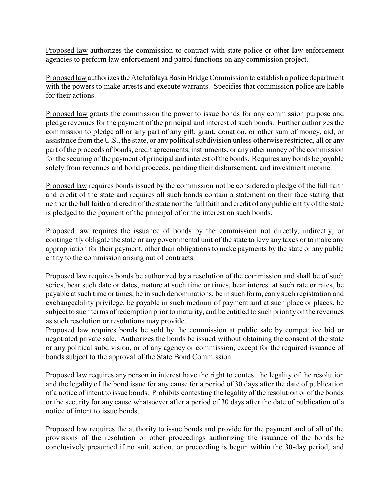Proposed law authorizes the commission to contract with state police or other law enforcement agencies to perform law enforcement and patrol functions on any commission project.

Proposed law authorizes the Atchafalaya Basin Bridge Commission to establish a police department with the powers to make arrests and execute warrants. Specifies that commission police are liable for their actions.

Proposed law grants the commission the power to issue bonds for any commission purpose and pledge revenues for the payment of the principal and interest of such bonds. Further authorizes the commission to pledge all or any part of any gift, grant, donation, or other sum of money, aid, or assistance from the U.S., the state, or any political subdivision unless otherwise restricted, all or any part of the proceeds of bonds, credit agreements, instruments, or any other money of the commission for the securing of the payment of principal and interest of the bonds. Requires any bonds be payable solely from revenues and bond proceeds, pending their disbursement, and investment income.

Proposed law requires bonds issued by the commission not be considered a pledge of the full faith and credit of the state and requires all such bonds contain a statement on their face stating that neither the full faith and credit of the state nor the full faith and credit of any public entity of the state is pledged to the payment of the principal of or the interest on such bonds.

Proposed law requires the issuance of bonds by the commission not directly, indirectly, or contingently obligate the state or any governmental unit of the state to levy any taxes or to make any appropriation for their payment, other than obligations to make payments by the state or any public entity to the commission arising out of contracts.

Proposed law requires bonds be authorized by a resolution of the commission and shall be of such series, bear such date or dates, mature at such time or times, bear interest at such rate or rates, be payable at such time or times, be in such denominations, be in such form, carry such registration and exchangeability privilege, be payable in such medium of payment and at such place or places, be subject to such terms of redemption prior to maturity, and be entitled to such priority on the revenues as such resolution or resolutions may provide.

Proposed law requires bonds be sold by the commission at public sale by competitive bid or negotiated private sale. Authorizes the bonds be issued without obtaining the consent of the state or any political subdivision, or of any agency or commission, except for the required issuance of bonds subject to the approval of the State Bond Commission.

Proposed law requires any person in interest have the right to contest the legality of the resolution and the legality of the bond issue for any cause for a period of 30 days after the date of publication of a notice of intent to issue bonds. Prohibits contesting the legality of the resolution or of the bonds or the security for any cause whatsoever after a period of 30 days after the date of publication of a notice of intent to issue bonds.

Proposed law requires the authority to issue bonds and provide for the payment and of all of the provisions of the resolution or other proceedings authorizing the issuance of the bonds be conclusively presumed if no suit, action, or proceeding is begun within the 30-day period, and